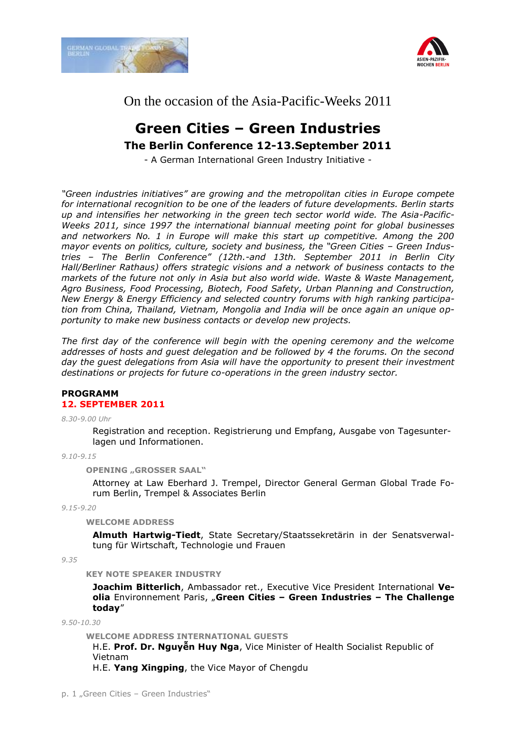



# On the occasion of the Asia-Pacific-Weeks 2011

# **Green Cities – Green Industries The Berlin Conference 12-13.September 2011**

- A German International Green Industry Initiative -

*"Green industries initiatives" are growing and the metropolitan cities in Europe compete for international recognition to be one of the leaders of future developments. Berlin starts up and intensifies her networking in the green tech sector world wide. The Asia-Pacific-Weeks 2011, since 1997 the international biannual meeting point for global businesses and networkers No. 1 in Europe will make this start up competitive. Among the 200 mayor events on politics, culture, society and business, the "Green Cities – Green Industries – The Berlin Conference" (12th.-and 13th. September 2011 in Berlin City Hall/Berliner Rathaus) offers strategic visions and a network of business contacts to the markets of the future not only in Asia but also world wide. Waste & Waste Management, Agro Business, Food Processing, Biotech, Food Safety, Urban Planning and Construction, New Energy & Energy Efficiency and selected country forums with high ranking participation from China, Thailand, Vietnam, Mongolia and India will be once again an unique opportunity to make new business contacts or develop new projects.*

*The first day of the conference will begin with the opening ceremony and the welcome addresses of hosts and guest delegation and be followed by 4 the forums. On the second day the guest delegations from Asia will have the opportunity to present their investment destinations or projects for future co-operations in the green industry sector.*

## **PROGRAMM 12. SEPTEMBER 2011**

*8.30-9.00 Uhr*

Registration and reception. Registrierung und Empfang, Ausgabe von Tagesunterlagen und Informationen.

*9.10-9.15*

**OPENING "GROSSER SAAL"**

Attorney at Law Eberhard J. Trempel, Director General German Global Trade Forum Berlin, Trempel & Associates Berlin

*9.15-9.20*

**WELCOME ADDRESS**

**Almuth Hartwig-Tiedt**, State Secretary/Staatssekretärin in der Senatsverwaltung für Wirtschaft, Technologie und Frauen

*9.35*

**KEY NOTE SPEAKER INDUSTRY** 

**Joachim Bitterlich**, Ambassador ret., Executive Vice President International **Veolia** Environnement Paris, "**Green Cities – Green Industries – The Challenge today**"

*9.50-10.30*

**WELCOME ADDRESS INTERNATIONAL GUESTS**

H.E. **Prof. Dr. Nguyễn Huy Nga**, Vice Minister of Health Socialist Republic of Vietnam

H.E. **Yang Xingping**, the Vice Mayor of Chengdu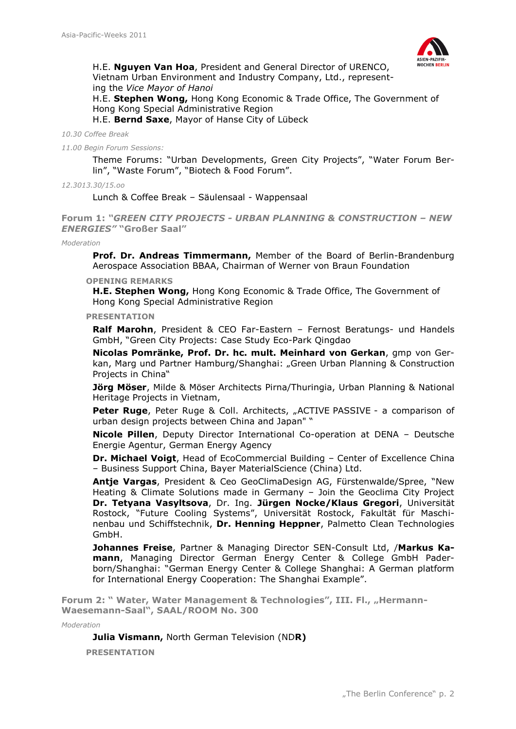

H.E. **Nguyen Van Hoa**, President and General Director of URENCO, Vietnam Urban Environment and Industry Company, Ltd., representing the *Vice Mayor of Hanoi*

H.E. **Stephen Wong,** Hong Kong Economic & Trade Office, The Government of Hong Kong Special Administrative Region

H.E. **Bernd Saxe**, Mayor of Hanse City of Lübeck

*10.30 Coffee Break*

*11.00 Begin Forum Sessions:*

Theme Forums: "Urban Developments, Green City Projects", "Water Forum Berlin", "Waste Forum", "Biotech & Food Forum".

*12.3013.30/15.oo*

Lunch & Coffee Break – Säulensaal - Wappensaal

**Forum 1:** *"GREEN CITY PROJECTS - URBAN PLANNING & CONSTRUCTION – NEW ENERGIES"* **"Großer Saal"**

*Moderation*

**Prof. Dr. Andreas Timmermann,** Member of the Board of Berlin-Brandenburg Aerospace Association BBAA, Chairman of Werner von Braun Foundation

**OPENING REMARKS**

**H.E. Stephen Wong,** Hong Kong Economic & Trade Office, The Government of Hong Kong Special Administrative Region

**PRESENTATION**

**Ralf Marohn**, President & CEO Far-Eastern – Fernost Beratungs- und Handels GmbH, "Green City Projects: Case Study Eco-Park Qingdao

**Nicolas Pomränke, Prof. Dr. hc. mult. Meinhard von Gerkan**, gmp von Gerkan, Marg und Partner Hamburg/Shanghai: "Green Urban Planning & Construction Projects in China"

**Jörg Möser**, Milde & Möser Architects Pirna/Thuringia, Urban Planning & National Heritage Projects in Vietnam,

**Peter Ruge**, Peter Ruge & Coll. Architects, "ACTIVE PASSIVE - a comparison of urban design projects between China and Japan" "

**Nicole Pillen**, Deputy Director International Co-operation at DENA – Deutsche Energie Agentur, German Energy Agency

**Dr. Michael Voigt**, Head of EcoCommercial Building – Center of Excellence China – Business Support China, Bayer MaterialScience (China) Ltd.

**Antje Vargas**, President & Ceo GeoClimaDesign AG, Fürstenwalde/Spree, "New Heating & Climate Solutions made in Germany – Join the Geoclima City Project **Dr. Tetyana Vasyltsova**, Dr. Ing. **Jürgen Nocke/Klaus Gregori**, Universität Rostock, "Future Cooling Systems", Universität Rostock, Fakultät für Maschinenbau und Schiffstechnik, **Dr. Henning Heppner**, Palmetto Clean Technologies GmbH.

**Johannes Freise**, Partner & Managing Director SEN-Consult Ltd, /**Markus Kamann**, Managing Director German Energy Center & College GmbH Paderborn/Shanghai: "[German Energy Center & College Shanghai: A German platform](http://www.germanglobaltrade.de/downloads/profile-gpdm-mbh-en-ch-2.pdf)  [for International Energy Cooperation: The Shanghai Example](http://www.germanglobaltrade.de/downloads/profile-gpdm-mbh-en-ch-2.pdf)".

**Forum 2: " Water, Water Management & Technologies", III. Fl., "Hermann-Waesemann-Saal", SAAL/ROOM No. 300**

*Moderation*

**Julia Vismann,** North German Television (ND**R)**

**PRESENTATION**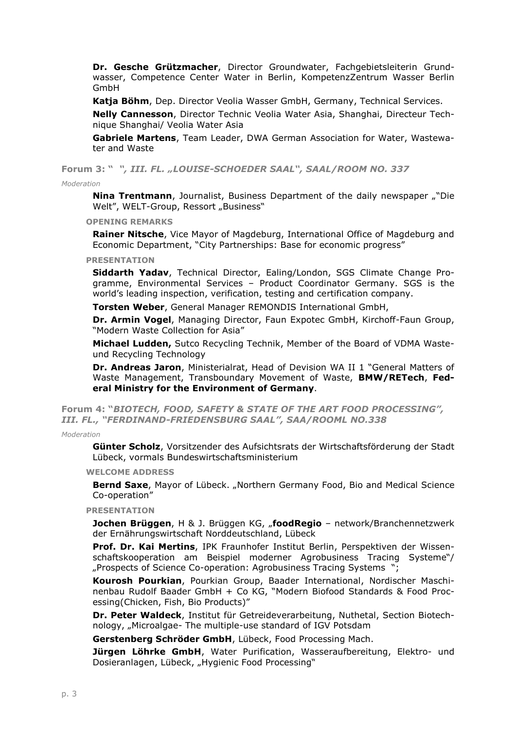**Dr. Gesche Grützmacher**, Director Groundwater, Fachgebietsleiterin Grundwasser, Competence Center Water in Berlin, KompetenzZentrum Wasser Berlin GmbH

**Katja Böhm**, Dep. Director Veolia Wasser GmbH, Germany, Technical Services.

**Nelly Cannesson**, Director Technic Veolia Water Asia, Shanghai, Directeur Technique Shanghai/ Veolia Water Asia

**Gabriele Martens**, Team Leader, DWA German Association for Water, Wastewater and Waste

**Forum 3: "** *", III. FL. "LOUISE-SCHOEDER SAAL", SAAL/ROOM NO. 337*

## *Moderation*

**Nina Trentmann**, Journalist, Business Department of the daily newspaper ""Die Welt", WELT-Group, Ressort "Business"

**OPENING REMARKS**

**Rainer Nitsche**, Vice Mayor of Magdeburg, International Office of Magdeburg and Economic Department, "City Partnerships: Base for economic progress"

### **PRESENTATION**

**Siddarth Yadav**, Technical Director, Ealing/London, SGS Climate Change Programme, Environmental Services – Product Coordinator Germany. SGS is the world's leading inspection, verification, testing and certification company.

**Torsten Weber**, General Manager REMONDIS International GmbH,

**Dr. Armin Vogel**, Managing Director, Faun Expotec GmbH, Kirchoff-Faun Group, "Modern Waste Collection for Asia"

**Michael Ludden,** [Sutco Recycling Technik,](http://www.germanglobaltrade.de/downloads/green-cities-green-industries-ludden-general-p.pdf) Member of the Board of VDMA Wasteund Recycling Technology

**Dr. Andreas Jaron**, Ministerialrat, Head of Devision WA II 1 "General Matters of Waste Management, Transboundary Movement of Waste, **BMW/RETech**, **Federal Ministry for the Environment of Germany**.

**Forum 4: "***BIOTECH, FOOD, SAFETY & STATE OF THE ART FOOD PROCESSING", III. FL., "FERDINAND-FRIEDENSBURG SAAL", SAA/ROOML NO.338*

*Moderation*

**Günter Scholz**, Vorsitzender des Aufsichtsrats der Wirtschaftsförderung der Stadt Lübeck, vormals Bundeswirtschaftsministerium

**WELCOME ADDRESS**

Bernd Saxe, Mayor of Lübeck. "Northern Germany Food, Bio and Medical Science Co-operation"

**PRESENTATION**

**Jochen Brüggen**, H & J. Brüggen KG, "**foodRegio** – network/Branchennetzwerk der Ernährungswirtschaft Norddeutschland, Lübeck

**Prof. Dr. Kai Mertins**, [IPK Fraunhofer Institut Berlin,](http://www.germanglobaltrade.de/downloads/ipkintroductionchinakompatibilitaetsmodus.pdf) Perspektiven der Wissenschaftskooperation am Beispiel moderner Agrobusiness Tracing Systeme"/ "[Prospects of Science Co-operation: Agrobusiness Tracing Systems](http://www.germanglobaltrade.de/downloads/mertins-ipk-introduction_china-bio.pdf) ";

**Kourosh Pourkian**, [Pourkian Group,](http://www.pourkiangroup.de/) [Baader International,](http://www.baader.com/) Nordischer Maschinenbau Rudolf Baader GmbH + Co KG, "[Modern Biofood Standards & Food Proc](http://www.germanglobaltrade.de/downloads/pourkian-pr-100616chinacnfinale.ppt)[essing](http://www.germanglobaltrade.de/downloads/pourkian-pr-100616chinacnfinale.ppt)(Chicken, Fish, Bio Products)"

**Dr. Peter Waldeck**, Institut für Getreideverarbeitung, Nuthetal, Section Biotechnology, "Microalgae- The multiple-use standard of IGV Potsdam

**Gerstenberg Schröder GmbH**, Lübeck, Food Processing Mach.

**Jürgen Löhrke GmbH**, Water Purification, Wasseraufbereitung, Elektro- und Dosieranlagen, Lübeck, "Hygienic Food Processing"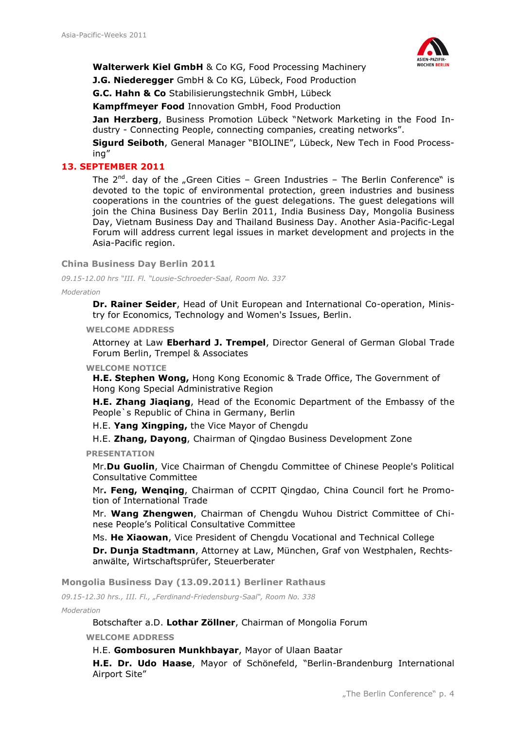

## **Walterwerk Kiel GmbH** & Co KG, Food Processing Machinery

**J.G. Niederegger** GmbH & Co KG, Lübeck, Food Production

**G.C. Hahn & Co** Stabilisierungstechnik GmbH, Lübeck

**Kampffmeyer Food** Innovation GmbH, Food Production

**Jan Herzberg**, Business Promotion Lübeck "Network Marketing in the Food Industry - Connecting People, connecting companies, creating networks".

**Sigurd Seiboth**, General Manager "BIOLINE", Lübeck, New Tech in Food Processing"

## **13. SEPTEMBER 2011**

The  $2^{nd}$ . day of the "Green Cities – Green Industries – The Berlin Conference" is devoted to the topic of environmental protection, green industries and business cooperations in the countries of the guest delegations. The guest delegations will join the China Business Day Berlin 2011, India Business Day, Mongolia Business Day, Vietnam Business Day and Thailand Business Day. Another Asia-Pacific-Legal Forum will address current legal issues in market development and projects in the Asia-Pacific region.

**China Business Day Berlin 2011**

*09.15-12.00 hrs "III. Fl. "Lousie-Schroeder-Saal, Room No. 337*

*Moderation*

**Dr. Rainer Seider**, Head of Unit European and International Co-operation, Ministry for Economics, Technology and Women's Issues, Berlin.

**WELCOME ADDRESS** 

Attorney at Law **Eberhard J. Trempel**, Director General of German Global Trade Forum Berlin, Trempel & Associates

## **WELCOME NOTICE**

**H.E. Stephen Wong,** Hong Kong Economic & Trade Office, The Government of Hong Kong Special Administrative Region

**H.E. Zhang Jiaqiang**, Head of the Economic Department of the Embassy of the People`s Republic of China in Germany, Berlin

H.E. **Yang Xingping,** the Vice Mayor of Chengdu

H.E. **Zhang, Dayong**, Chairman of Qingdao Business Development Zone

**PRESENTATION**

Mr.**Du Guolin**, Vice Chairman of Chengdu Committee of Chinese People's Political Consultative Committee

Mr**. Feng, Wenqing**, Chairman of CCPIT Qingdao, China Council fort he Promotion of International Trade

Mr. **Wang Zhengwen**, Chairman of Chengdu Wuhou District Committee of Chinese People's Political Consultative Committee

Ms. **He Xiaowan**, Vice President of Chengdu Vocational and Technical College

**Dr. Dunja Stadtmann**, Attorney at Law, München, Graf von Westphalen, Rechtsanwälte, Wirtschaftsprüfer, Steuerberater

**Mongolia Business Day (13.09.2011) Berliner Rathaus**

*09.15-12.30 hrs., III. Fl., "Ferdinand-Friedensburg-Saal", Room No. 338*

*Moderation*

Botschafter a.D. **Lothar Zöllner**, Chairman of Mongolia Forum

**WELCOME ADDRESS**

## H.E. **Gombosuren Munkhbayar**, Mayor of Ulaan Baatar

**H.E. Dr. Udo Haase**, Mayor of Schönefeld, "Berlin-Brandenburg International Airport Site"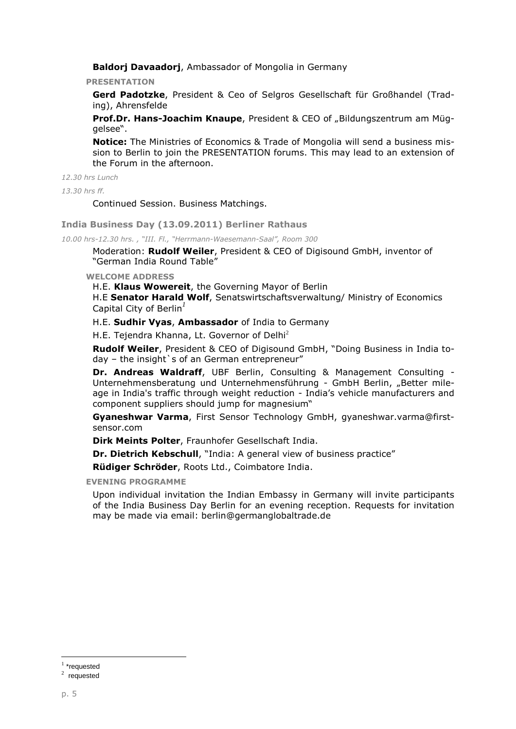**Baldorj Davaadorj**, Ambassador of Mongolia in Germany

**PRESENTATION**

**Gerd Padotzke**, President & Ceo of Selgros Gesellschaft für Großhandel (Trading), Ahrensfelde

**Prof.Dr. Hans-Joachim Knaupe**, President & CEO of "Bildungszentrum am Müggelsee".

**Notice:** The Ministries of Economics & Trade of Mongolia will send a business mission to Berlin to join the PRESENTATION forums. This may lead to an extension of the Forum in the afternoon.

*12.30 hrs Lunch*

*13.30 hrs ff.*

Continued Session. Business Matchings.

**India Business Day (13.09.2011) Berliner Rathaus**

*10.00 hrs-12.30 hrs. , "III. Fl., "Herrmann-Waesemann-Saal", Room 300*

Moderation: **Rudolf Weiler**, President & CEO of Digisound GmbH, inventor of "German India Round Table"

**WELCOME ADDRESS**

H.E. **Klaus Wowereit**, the Governing Mayor of Berlin

H.E **Senator Harald Wolf**, Senatswirtschaftsverwaltung/ Ministry of Economics Capital City of Berlin*<sup>1</sup>*

H.E. **Sudhir Vyas**, **Ambassador** of India to Germany

H.E. [Tejendra Khanna,](http://delhigovt.nic.in/lg07.asp) Lt. Governor of Delhi<sup>2</sup>

**Rudolf Weiler**, President & CEO of Digisound GmbH, "Doing Business in India today - the insight's of an German entrepreneur"

**Dr. Andreas Waldraff**, UBF Berlin, Consulting & Management Consulting - Unternehmensberatung und Unternehmensführung - GmbH Berlin, "Better mileage in India's traffic through weight reduction - India's vehicle manufacturers and component suppliers should jump for magnesium"

**Gyaneshwar Varma**, First Sensor Technology GmbH, [gyaneshwar.varma@first](mailto:gyaneshwar.varma@first-sensor.com)[sensor.com](mailto:gyaneshwar.varma@first-sensor.com)

**Dirk Meints Polter**, Fraunhofer Gesellschaft India.

**Dr. Dietrich Kebschull**, "India: A general view of business practice"

**Rüdiger Schröder**, Roots Ltd., Coimbatore India.

**EVENING PROGRAMME**

Upon individual invitation the Indian Embassy in Germany will invite participants of the India Business Day Berlin for an evening reception. Requests for invitation may be made via email: berlin@germanglobaltrade.de

 $\overline{a}$ 

<sup>&</sup>lt;sup>1</sup> \*requested

 $2$  requested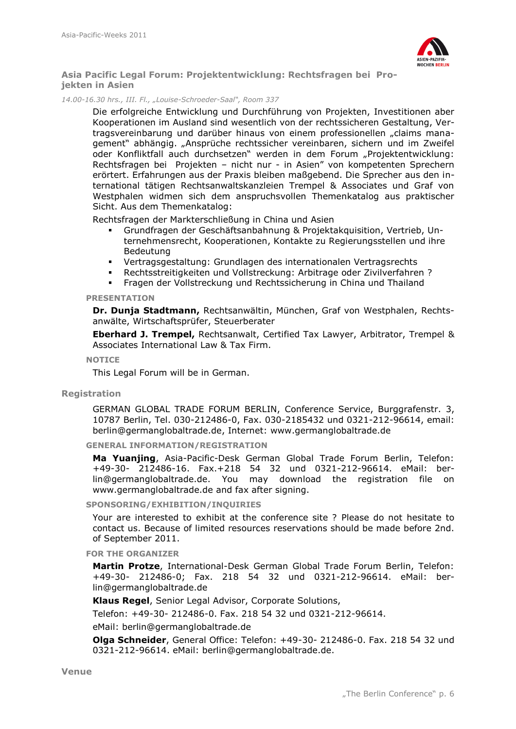

**Asia Pacific Legal Forum: Projektentwicklung: Rechtsfragen bei Projekten in Asien**

### *14.00-16.30 hrs., III. Fl., "Louise-Schroeder-Saal", Room 337*

Die erfolgreiche Entwicklung und Durchführung von Projekten, Investitionen aber Kooperationen im Ausland sind wesentlich von der rechtssicheren Gestaltung, Vertragsvereinbarung und darüber hinaus von einem professionellen "claims management" abhängig. "Ansprüche rechtssicher vereinbaren, sichern und im Zweifel oder Konfliktfall auch durchsetzen" werden in dem Forum "Projektentwicklung: Rechtsfragen bei Projekten – nicht nur - in Asien" von kompetenten Sprechern erörtert. Erfahrungen aus der Praxis bleiben maßgebend. Die Sprecher aus den international tätigen Rechtsanwaltskanzleien Trempel & Associates und Graf von Westphalen widmen sich dem anspruchsvollen Themenkatalog aus praktischer Sicht. Aus dem Themenkatalog:

Rechtsfragen der Markterschließung in China und Asien

- Grundfragen der Geschäftsanbahnung & Projektakquisition, Vertrieb, Unternehmensrecht, Kooperationen, Kontakte zu Regierungsstellen und ihre Bedeutung
- Vertragsgestaltung: Grundlagen des internationalen Vertragsrechts
- Rechtsstreitigkeiten und Vollstreckung: Arbitrage oder Zivilverfahren ?
- Fragen der Vollstreckung und Rechtssicherung in China und Thailand

#### **PRESENTATION**

**Dr. Dunja Stadtmann,** Rechtsanwältin, München, Graf von Westphalen, Rechtsanwälte, Wirtschaftsprüfer, Steuerberater

**Eberhard J. Trempel,** Rechtsanwalt, Certified Tax Lawyer, Arbitrator, Trempel & Associates International Law & Tax Firm.

#### **NOTICE**

This Legal Forum will be in German.

## **Registration**

GERMAN GLOBAL TRADE FORUM BERLIN, Conference Service, Burggrafenstr. 3, 10787 Berlin, Tel. 030-212486-0, Fax. 030-2185432 und 0321-212-96614, email: berlin@germanglobaltrade.de, Internet: www.germanglobaltrade.de

**GENERAL INFORMATION/REGISTRATION**

**Ma Yuanjing**, Asia-Pacific-Desk German Global Trade Forum Berlin, Telefon: +49-30- 212486-16. Fax.+218 54 32 und 0321-212-96614. eMail: berlin@germanglobaltrade.de. You may download the registration file on www.germanglobaltrade.de and fax after signing.

**SPONSORING/EXHIBITION/INQUIRIES**

Your are interested to exhibit at the conference site ? Please do not hesitate to contact us. Because of limited resources reservations should be made before 2nd. of September 2011.

**FOR THE ORGANIZER**

**Martin Protze**, International-Desk German Global Trade Forum Berlin, Telefon: +49-30- 212486-0; Fax. 218 54 32 und 0321-212-96614. eMail: berlin@germanglobaltrade.de

**Klaus Regel**, Senior Legal Advisor, Corporate Solutions,

Telefon: +49-30- 212486-0. Fax. 218 54 32 und 0321-212-96614.

eMail: berlin@germanglobaltrade.de

**Olga Schneider**, General Office: Telefon: +49-30- 212486-0. Fax. 218 54 32 und 0321-212-96614. eMail: berlin@germanglobaltrade.de.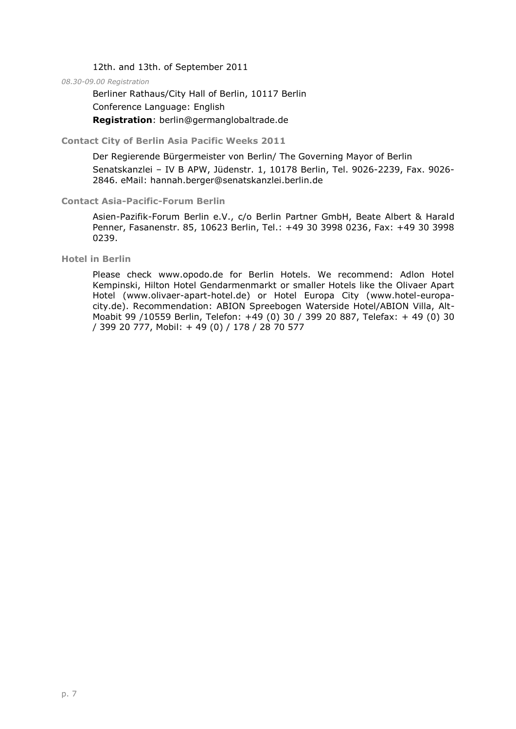12th. and 13th. of September 2011

*08.30-09.00 Registration*

Berliner Rathaus/City Hall of Berlin, 10117 Berlin Conference Language: English **Registration**: berlin@germanglobaltrade.de

**Contact City of Berlin Asia Pacific Weeks 2011**

Der Regierende Bürgermeister von Berlin/ The Governing Mayor of Berlin Senatskanzlei – IV B APW, Jüdenstr. 1, 10178 Berlin, Tel. 9026-2239, Fax. 9026- 2846. eMail: hannah.berger@senatskanzlei.berlin.de

## **Contact Asia-Pacific-Forum Berlin**

Asien-Pazifik-Forum Berlin e.V., c/o Berlin Partner GmbH, Beate Albert & Harald Penner, Fasanenstr. 85, 10623 Berlin, Tel.: +49 30 3998 0236, Fax: +49 30 3998 0239.

**Hotel in Berlin**

Please check www.opodo.de for Berlin Hotels. We recommend: Adlon Hotel Kempinski, Hilton Hotel Gendarmenmarkt or smaller Hotels like the Olivaer Apart Hotel (www.olivaer-apart-hotel.de) or Hotel Europa City (www.hotel-europacity.de). Recommendation: ABION Spreebogen Waterside Hotel/ABION Villa, Alt-Moabit 99 /10559 Berlin, Telefon: +49 (0) 30 / 399 20 887, Telefax: + 49 (0) 30 / 399 20 777, Mobil: + 49 (0) / 178 / 28 70 577